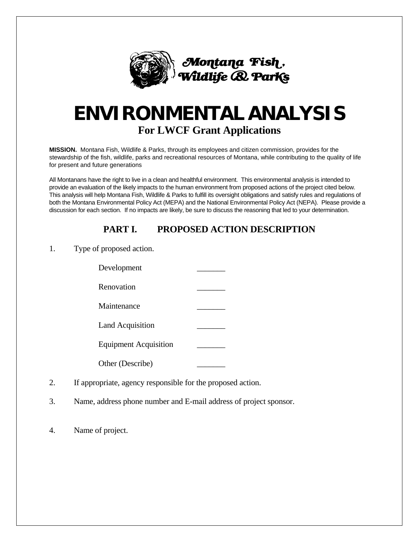

# **ENVIRONMENTAL ANALYSIS For LWCF Grant Applications**

**MISSION.** Montana Fish, Wildlife & Parks, through its employees and citizen commission, provides for the stewardship of the fish, wildlife, parks and recreational resources of Montana, while contributing to the quality of life for present and future generations

All Montanans have the right to live in a clean and healthful environment. This environmental analysis is intended to provide an evaluation of the likely impacts to the human environment from proposed actions of the project cited below. This analysis will help Montana Fish, Wildlife & Parks to fulfill its oversight obligations and satisfy rules and regulations of both the Montana Environmental Policy Act (MEPA) and the National Environmental Policy Act (NEPA). Please provide a discussion for each section. If no impacts are likely, be sure to discuss the reasoning that led to your determination.

# **PART I. PROPOSED ACTION DESCRIPTION**

1. Type of proposed action.

| Development                  |  |
|------------------------------|--|
| Renovation                   |  |
| Maintenance                  |  |
| <b>Land Acquisition</b>      |  |
| <b>Equipment Acquisition</b> |  |
| Other (Describe)             |  |

- 2. If appropriate, agency responsible for the proposed action.
- 3. Name, address phone number and E-mail address of project sponsor.
- 4. Name of project.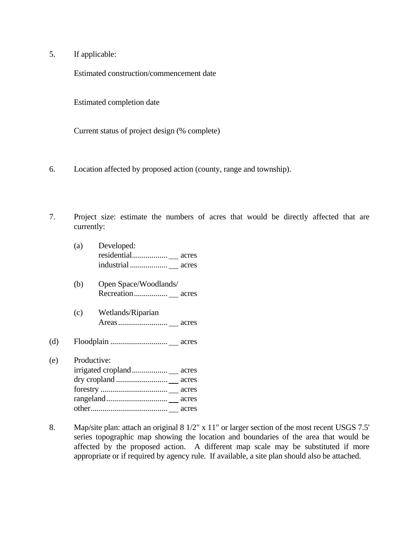5. If applicable:

Estimated construction/commencement date

Estimated completion date

Current status of project design (% complete)

- 6. Location affected by proposed action (county, range and township).
- 7. Project size: estimate the numbers of acres that would be directly affected that are currently:

|     | (a) | Developed:            |
|-----|-----|-----------------------|
|     |     |                       |
|     |     |                       |
|     | (b) | Open Space/Woodlands/ |
|     |     |                       |
|     | (c) | Wetlands/Riparian     |
|     |     |                       |
| (d) |     |                       |
| (e) |     | Productive:           |
|     |     |                       |
|     |     |                       |
|     |     |                       |
|     |     |                       |
|     |     | acres                 |

 $(e)$ 

8. Map/site plan: attach an original 8 1/2" x 11" or larger section of the most recent USGS 7.5' series topographic map showing the location and boundaries of the area that would be affected by the proposed action. A different map scale may be substituted if more appropriate or if required by agency rule. If available, a site plan should also be attached.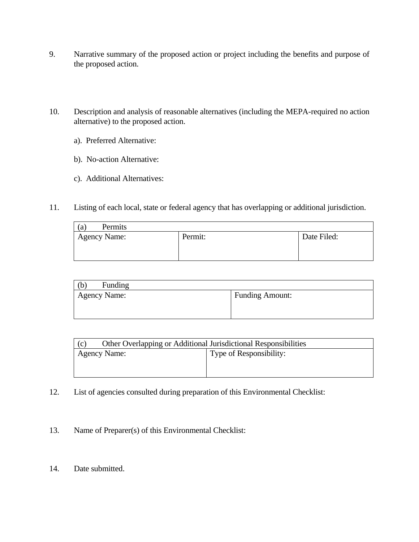- 9. Narrative summary of the proposed action or project including the benefits and purpose of the proposed action.
- 10. Description and analysis of reasonable alternatives (including the MEPA-required no action alternative) to the proposed action.
	- a). Preferred Alternative:
	- b). No-action Alternative:
	- c). Additional Alternatives:
- 11. Listing of each local, state or federal agency that has overlapping or additional jurisdiction.

| Permits<br>(a) |         |             |
|----------------|---------|-------------|
| Agency Name:   | Permit: | Date Filed: |

| Funding<br>(b)      |                        |
|---------------------|------------------------|
| <b>Agency Name:</b> | <b>Funding Amount:</b> |
|                     |                        |

| Other Overlapping or Additional Jurisdictional Responsibilities<br>(c) |                         |  |  |  |  |  |  |
|------------------------------------------------------------------------|-------------------------|--|--|--|--|--|--|
| <b>Agency Name:</b>                                                    | Type of Responsibility: |  |  |  |  |  |  |
|                                                                        |                         |  |  |  |  |  |  |
|                                                                        |                         |  |  |  |  |  |  |

- 12. List of agencies consulted during preparation of this Environmental Checklist:
- 13. Name of Preparer(s) of this Environmental Checklist:
- 14. Date submitted.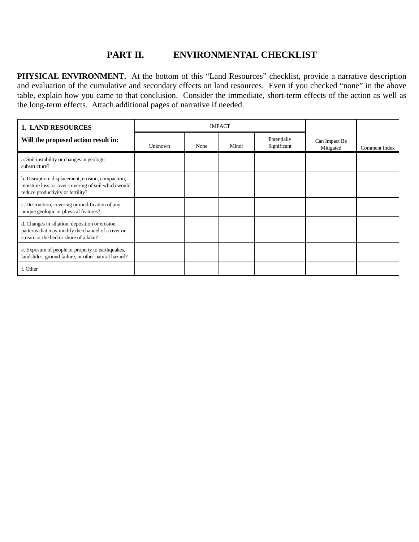#### **PART II. ENVIRONMENTAL CHECKLIST**

**PHYSICAL ENVIRONMENT.** At the bottom of this "Land Resources" checklist, provide a narrative description and evaluation of the cumulative and secondary effects on land resources. Even if you checked "none" in the above table, explain how you came to that conclusion. Consider the immediate, short-term effects of the action as well as the long-term effects. Attach additional pages of narrative if needed.

| <b>1. LAND RESOURCES</b>                                                                                                                      |         | <b>IMPACT</b> |       |                            |                            |               |
|-----------------------------------------------------------------------------------------------------------------------------------------------|---------|---------------|-------|----------------------------|----------------------------|---------------|
| Will the proposed action result in:                                                                                                           | Unknown | None          | Minor | Potentially<br>Significant | Can Impact Be<br>Mitigated | Comment Index |
| a. Soil instability or changes in geologic<br>substructure?                                                                                   |         |               |       |                            |                            |               |
| b. Disruption, displacement, erosion, compaction,<br>moisture loss, or over-covering of soil which would<br>reduce productivity or fertility? |         |               |       |                            |                            |               |
| c. Destruction, covering or modification of any<br>unique geologic or physical features?                                                      |         |               |       |                            |                            |               |
| d. Changes in siltation, deposition or erosion<br>patterns that may modify the channel of a river or<br>stream or the bed or shore of a lake? |         |               |       |                            |                            |               |
| e. Exposure of people or property to earthquakes,<br>landslides, ground failure, or other natural hazard?                                     |         |               |       |                            |                            |               |
| f. Other                                                                                                                                      |         |               |       |                            |                            |               |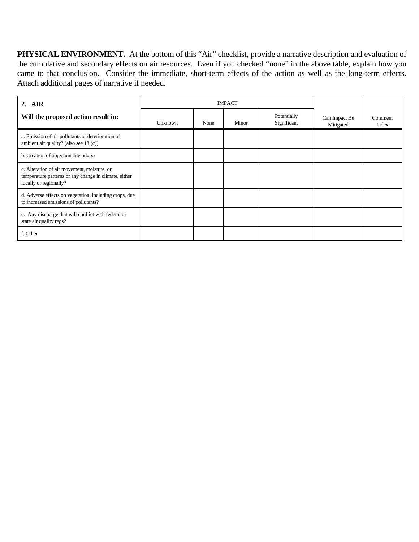**PHYSICAL ENVIRONMENT.** At the bottom of this "Air" checklist, provide a narrative description and evaluation of the cumulative and secondary effects on air resources. Even if you checked "none" in the above table, explain how you came to that conclusion. Consider the immediate, short-term effects of the action as well as the long-term effects. Attach additional pages of narrative if needed.

| 2. AIR                                                                                                                         |         | <b>IMPACT</b> |       |                            |                            |                  |
|--------------------------------------------------------------------------------------------------------------------------------|---------|---------------|-------|----------------------------|----------------------------|------------------|
| Will the proposed action result in:                                                                                            | Unknown | None          | Minor | Potentially<br>Significant | Can Impact Be<br>Mitigated | Comment<br>Index |
| a. Emission of air pollutants or deterioration of<br>ambient air quality? (also see 13 (c))                                    |         |               |       |                            |                            |                  |
| b. Creation of objectionable odors?                                                                                            |         |               |       |                            |                            |                  |
| c. Alteration of air movement, moisture, or<br>temperature patterns or any change in climate, either<br>locally or regionally? |         |               |       |                            |                            |                  |
| d. Adverse effects on vegetation, including crops, due<br>to increased emissions of pollutants?                                |         |               |       |                            |                            |                  |
| e. Any discharge that will conflict with federal or<br>state air quality regs?                                                 |         |               |       |                            |                            |                  |
| f. Other                                                                                                                       |         |               |       |                            |                            |                  |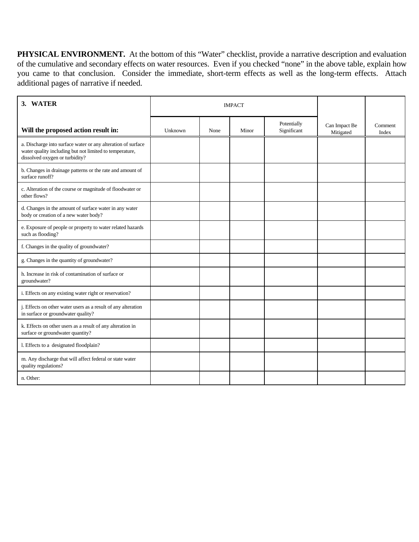**PHYSICAL ENVIRONMENT.** At the bottom of this "Water" checklist, provide a narrative description and evaluation of the cumulative and secondary effects on water resources. Even if you checked "none" in the above table, explain how you came to that conclusion. Consider the immediate, short-term effects as well as the long-term effects. Attach additional pages of narrative if needed.

| 3. WATER                                                                                                                                                  |         | <b>IMPACT</b> |       |                            |                            |                  |
|-----------------------------------------------------------------------------------------------------------------------------------------------------------|---------|---------------|-------|----------------------------|----------------------------|------------------|
| Will the proposed action result in:                                                                                                                       | Unknown | None          | Minor | Potentially<br>Significant | Can Impact Be<br>Mitigated | Comment<br>Index |
| a. Discharge into surface water or any alteration of surface<br>water quality including but not limited to temperature,<br>dissolved oxygen or turbidity? |         |               |       |                            |                            |                  |
| b. Changes in drainage patterns or the rate and amount of<br>surface runoff?                                                                              |         |               |       |                            |                            |                  |
| c. Alteration of the course or magnitude of floodwater or<br>other flows?                                                                                 |         |               |       |                            |                            |                  |
| d. Changes in the amount of surface water in any water<br>body or creation of a new water body?                                                           |         |               |       |                            |                            |                  |
| e. Exposure of people or property to water related hazards<br>such as flooding?                                                                           |         |               |       |                            |                            |                  |
| f. Changes in the quality of groundwater?                                                                                                                 |         |               |       |                            |                            |                  |
| g. Changes in the quantity of groundwater?                                                                                                                |         |               |       |                            |                            |                  |
| h. Increase in risk of contamination of surface or<br>groundwater?                                                                                        |         |               |       |                            |                            |                  |
| i. Effects on any existing water right or reservation?                                                                                                    |         |               |       |                            |                            |                  |
| j. Effects on other water users as a result of any alteration<br>in surface or groundwater quality?                                                       |         |               |       |                            |                            |                  |
| k. Effects on other users as a result of any alteration in<br>surface or groundwater quantity?                                                            |         |               |       |                            |                            |                  |
| 1. Effects to a designated floodplain?                                                                                                                    |         |               |       |                            |                            |                  |
| m. Any discharge that will affect federal or state water<br>quality regulations?                                                                          |         |               |       |                            |                            |                  |
| n. Other:                                                                                                                                                 |         |               |       |                            |                            |                  |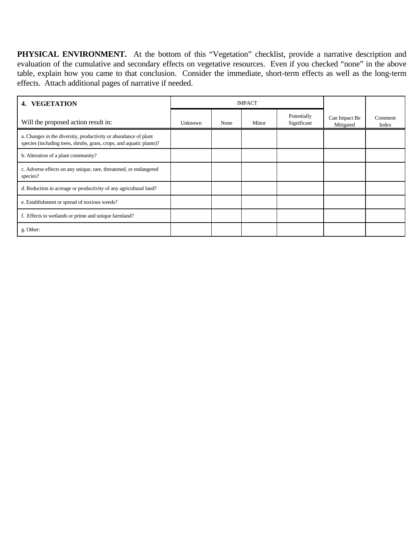PHYSICAL ENVIRONMENT. At the bottom of this "Vegetation" checklist, provide a narrative description and evaluation of the cumulative and secondary effects on vegetative resources. Even if you checked "none" in the above table, explain how you came to that conclusion. Consider the immediate, short-term effects as well as the long-term effects. Attach additional pages of narrative if needed.

| <b>VEGETATION</b><br>4.                                                                                                                 |         | <b>IMPACT</b> |       |                            |                            |                  |
|-----------------------------------------------------------------------------------------------------------------------------------------|---------|---------------|-------|----------------------------|----------------------------|------------------|
| Will the proposed action result in:                                                                                                     | Unknown | None          | Minor | Potentially<br>Significant | Can Impact Be<br>Mitigated | Comment<br>Index |
| a. Changes in the diversity, productivity or abundance of plant<br>species (including trees, shrubs, grass, crops, and aquatic plants)? |         |               |       |                            |                            |                  |
| b. Alteration of a plant community?                                                                                                     |         |               |       |                            |                            |                  |
| c. Adverse effects on any unique, rare, threatened, or endangered<br>species?                                                           |         |               |       |                            |                            |                  |
| d. Reduction in acreage or productivity of any agricultural land?                                                                       |         |               |       |                            |                            |                  |
| e. Establishment or spread of noxious weeds?                                                                                            |         |               |       |                            |                            |                  |
| f. Effects to wetlands or prime and unique farmland?                                                                                    |         |               |       |                            |                            |                  |
| g. Other:                                                                                                                               |         |               |       |                            |                            |                  |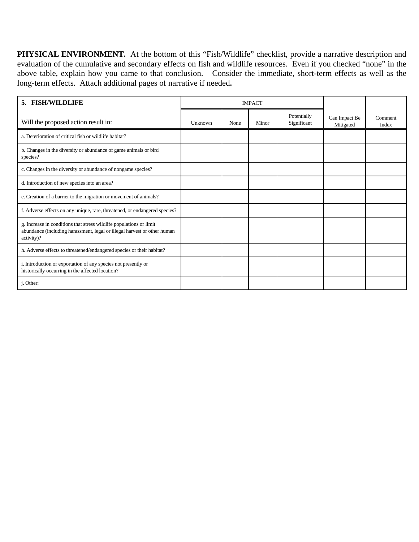**PHYSICAL ENVIRONMENT.** At the bottom of this "Fish/Wildlife" checklist, provide a narrative description and evaluation of the cumulative and secondary effects on fish and wildlife resources. Even if you checked "none" in the above table, explain how you came to that conclusion. Consider the immediate, short-term effects as well as the long-term effects. Attach additional pages of narrative if needed**.** 

| <b>FISH/WILDLIFE</b><br>5.                                                                                                                                    | <b>IMPACT</b> |      |       |                            |                            |                  |
|---------------------------------------------------------------------------------------------------------------------------------------------------------------|---------------|------|-------|----------------------------|----------------------------|------------------|
| Will the proposed action result in:                                                                                                                           | Unknown       | None | Minor | Potentially<br>Significant | Can Impact Be<br>Mitigated | Comment<br>Index |
| a. Deterioration of critical fish or wildlife habitat?                                                                                                        |               |      |       |                            |                            |                  |
| b. Changes in the diversity or abundance of game animals or bird<br>species?                                                                                  |               |      |       |                            |                            |                  |
| c. Changes in the diversity or abundance of nongame species?                                                                                                  |               |      |       |                            |                            |                  |
| d. Introduction of new species into an area?                                                                                                                  |               |      |       |                            |                            |                  |
| e. Creation of a barrier to the migration or movement of animals?                                                                                             |               |      |       |                            |                            |                  |
| f. Adverse effects on any unique, rare, threatened, or endangered species?                                                                                    |               |      |       |                            |                            |                  |
| g. Increase in conditions that stress wildlife populations or limit<br>abundance (including harassment, legal or illegal harvest or other human<br>activity)? |               |      |       |                            |                            |                  |
| h. Adverse effects to threatened/endangered species or their habitat?                                                                                         |               |      |       |                            |                            |                  |
| i. Introduction or exportation of any species not presently or<br>historically occurring in the affected location?                                            |               |      |       |                            |                            |                  |
| j. Other:                                                                                                                                                     |               |      |       |                            |                            |                  |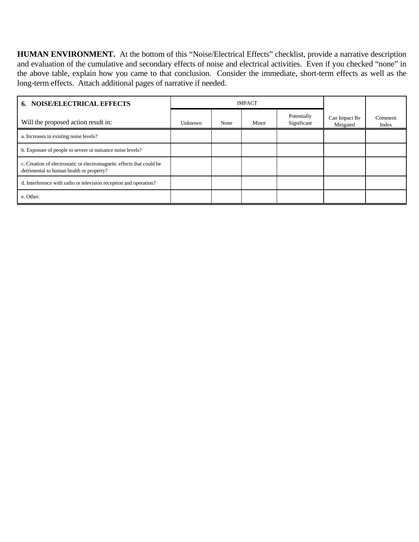**HUMAN ENVIRONMENT.** At the bottom of this "Noise/Electrical Effects" checklist, provide a narrative description and evaluation of the cumulative and secondary effects of noise and electrical activities. Even if you checked "none" in the above table, explain how you came to that conclusion. Consider the immediate, short-term effects as well as the long-term effects. Attach additional pages of narrative if needed.

| <b>6. NOISE/ELECTRICAL EFFECTS</b>                                                                                | <b>IMPACT</b> |      |       |                            |                            |                  |
|-------------------------------------------------------------------------------------------------------------------|---------------|------|-------|----------------------------|----------------------------|------------------|
| Will the proposed action result in:                                                                               | Unknown       | None | Minor | Potentially<br>Significant | Can Impact Be<br>Mitigated | Comment<br>Index |
| a. Increases in existing noise levels?                                                                            |               |      |       |                            |                            |                  |
| b. Exposure of people to severe or nuisance noise levels?                                                         |               |      |       |                            |                            |                  |
| c. Creation of electrostatic or electromagnetic effects that could be<br>detrimental to human health or property? |               |      |       |                            |                            |                  |
| d. Interference with radio or television reception and operation?                                                 |               |      |       |                            |                            |                  |
| e. Other:                                                                                                         |               |      |       |                            |                            |                  |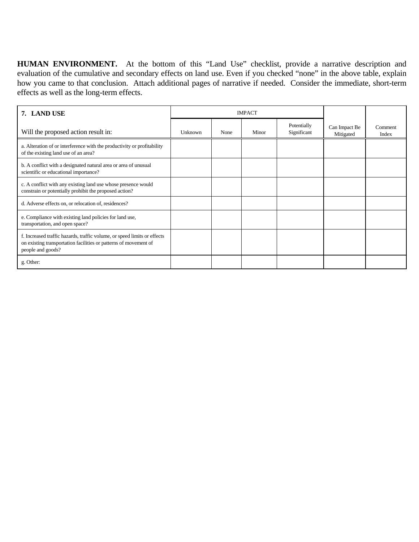**HUMAN ENVIRONMENT.** At the bottom of this "Land Use" checklist, provide a narrative description and evaluation of the cumulative and secondary effects on land use. Even if you checked "none" in the above table, explain how you came to that conclusion. Attach additional pages of narrative if needed. Consider the immediate, short-term effects as well as the long-term effects.

| 7. LAND USE                                                                                                                                                       | <b>IMPACT</b> |      |       |                            |                            |                  |
|-------------------------------------------------------------------------------------------------------------------------------------------------------------------|---------------|------|-------|----------------------------|----------------------------|------------------|
| Will the proposed action result in:                                                                                                                               | Unknown       | None | Minor | Potentially<br>Significant | Can Impact Be<br>Mitigated | Comment<br>Index |
| a. Alteration of or interference with the productivity or profitability<br>of the existing land use of an area?                                                   |               |      |       |                            |                            |                  |
| b. A conflict with a designated natural area or area of unusual<br>scientific or educational importance?                                                          |               |      |       |                            |                            |                  |
| c. A conflict with any existing land use whose presence would<br>constrain or potentially prohibit the proposed action?                                           |               |      |       |                            |                            |                  |
| d. Adverse effects on, or relocation of, residences?                                                                                                              |               |      |       |                            |                            |                  |
| e. Compliance with existing land policies for land use,<br>transportation, and open space?                                                                        |               |      |       |                            |                            |                  |
| f. Increased traffic hazards, traffic volume, or speed limits or effects<br>on existing transportation facilities or patterns of movement of<br>people and goods? |               |      |       |                            |                            |                  |
| g. Other:                                                                                                                                                         |               |      |       |                            |                            |                  |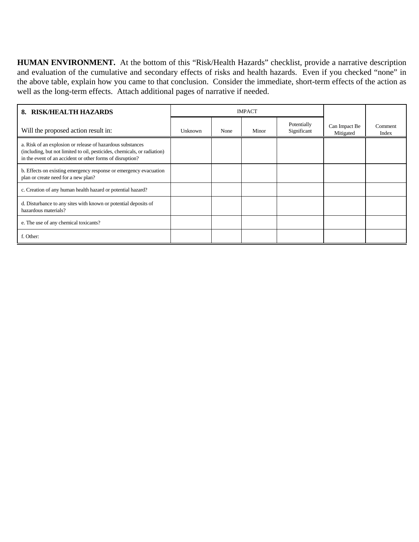**HUMAN ENVIRONMENT.** At the bottom of this "Risk/Health Hazards" checklist, provide a narrative description and evaluation of the cumulative and secondary effects of risks and health hazards. Even if you checked "none" in the above table, explain how you came to that conclusion. Consider the immediate, short-term effects of the action as well as the long-term effects. Attach additional pages of narrative if needed.

| <b>RISK/HEALTH HAZARDS</b><br>8.                                                                                                                                                                    | <b>IMPACT</b> |      |       |                            |                            |                  |
|-----------------------------------------------------------------------------------------------------------------------------------------------------------------------------------------------------|---------------|------|-------|----------------------------|----------------------------|------------------|
| Will the proposed action result in:                                                                                                                                                                 | Unknown       | None | Minor | Potentially<br>Significant | Can Impact Be<br>Mitigated | Comment<br>Index |
| a. Risk of an explosion or release of hazardous substances<br>(including, but not limited to oil, pesticides, chemicals, or radiation)<br>in the event of an accident or other forms of disruption? |               |      |       |                            |                            |                  |
| b. Effects on existing emergency response or emergency evacuation<br>plan or create need for a new plan?                                                                                            |               |      |       |                            |                            |                  |
| c. Creation of any human health hazard or potential hazard?                                                                                                                                         |               |      |       |                            |                            |                  |
| d. Disturbance to any sites with known or potential deposits of<br>hazardous materials?                                                                                                             |               |      |       |                            |                            |                  |
| e. The use of any chemical toxicants?                                                                                                                                                               |               |      |       |                            |                            |                  |
| f. Other:                                                                                                                                                                                           |               |      |       |                            |                            |                  |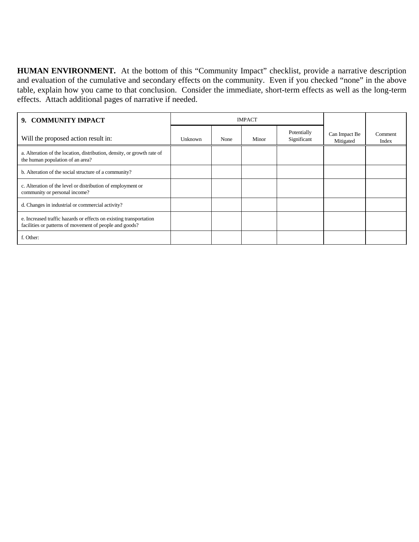**HUMAN ENVIRONMENT.** At the bottom of this "Community Impact" checklist, provide a narrative description and evaluation of the cumulative and secondary effects on the community. Even if you checked "none" in the above table, explain how you came to that conclusion. Consider the immediate, short-term effects as well as the long-term effects. Attach additional pages of narrative if needed.

| 9. COMMUNITY IMPACT                                                                                                           | <b>IMPACT</b> |      |       |                            |                            |                  |
|-------------------------------------------------------------------------------------------------------------------------------|---------------|------|-------|----------------------------|----------------------------|------------------|
| Will the proposed action result in:                                                                                           | Unknown       | None | Minor | Potentially<br>Significant | Can Impact Be<br>Mitigated | Comment<br>Index |
| a. Alteration of the location, distribution, density, or growth rate of<br>the human population of an area?                   |               |      |       |                            |                            |                  |
| b. Alteration of the social structure of a community?                                                                         |               |      |       |                            |                            |                  |
| c. Alteration of the level or distribution of employment or<br>community or personal income?                                  |               |      |       |                            |                            |                  |
| d. Changes in industrial or commercial activity?                                                                              |               |      |       |                            |                            |                  |
| e. Increased traffic hazards or effects on existing transportation<br>facilities or patterns of movement of people and goods? |               |      |       |                            |                            |                  |
| f. Other:                                                                                                                     |               |      |       |                            |                            |                  |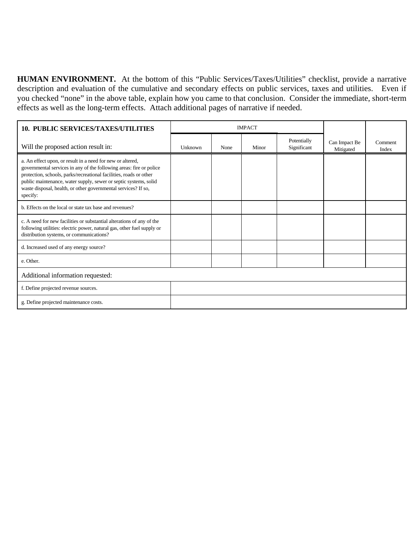**HUMAN ENVIRONMENT.** At the bottom of this "Public Services/Taxes/Utilities" checklist, provide a narrative description and evaluation of the cumulative and secondary effects on public services, taxes and utilities. Even if you checked "none" in the above table, explain how you came to that conclusion. Consider the immediate, short-term effects as well as the long-term effects. Attach additional pages of narrative if needed.

| <b>10. PUBLIC SERVICES/TAXES/UTILITIES</b>                                                                                                                                                                                                                                                                                                                | <b>IMPACT</b> |      |       |                            |                            |                  |
|-----------------------------------------------------------------------------------------------------------------------------------------------------------------------------------------------------------------------------------------------------------------------------------------------------------------------------------------------------------|---------------|------|-------|----------------------------|----------------------------|------------------|
| Will the proposed action result in:                                                                                                                                                                                                                                                                                                                       | Unknown       | None | Minor | Potentially<br>Significant | Can Impact Be<br>Mitigated | Comment<br>Index |
| a. An effect upon, or result in a need for new or altered,<br>governmental services in any of the following areas: fire or police<br>protection, schools, parks/recreational facilities, roads or other<br>public maintenance, water supply, sewer or septic systems, solid<br>waste disposal, health, or other governmental services? If so,<br>specify: |               |      |       |                            |                            |                  |
| b. Effects on the local or state tax base and revenues?                                                                                                                                                                                                                                                                                                   |               |      |       |                            |                            |                  |
| c. A need for new facilities or substantial alterations of any of the<br>following utilities: electric power, natural gas, other fuel supply or<br>distribution systems, or communications?                                                                                                                                                               |               |      |       |                            |                            |                  |
| d. Increased used of any energy source?                                                                                                                                                                                                                                                                                                                   |               |      |       |                            |                            |                  |
| e. Other.                                                                                                                                                                                                                                                                                                                                                 |               |      |       |                            |                            |                  |
| Additional information requested:                                                                                                                                                                                                                                                                                                                         |               |      |       |                            |                            |                  |
| f. Define projected revenue sources.                                                                                                                                                                                                                                                                                                                      |               |      |       |                            |                            |                  |
| g. Define projected maintenance costs.                                                                                                                                                                                                                                                                                                                    |               |      |       |                            |                            |                  |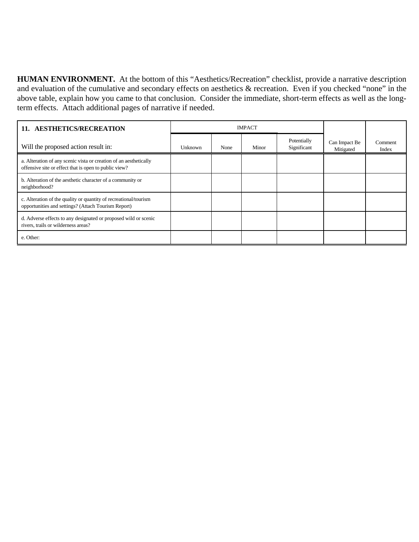**HUMAN ENVIRONMENT.** At the bottom of this "Aesthetics/Recreation" checklist, provide a narrative description and evaluation of the cumulative and secondary effects on aesthetics & recreation. Even if you checked "none" in the above table, explain how you came to that conclusion. Consider the immediate, short-term effects as well as the longterm effects. Attach additional pages of narrative if needed.

| 11. AESTHETICS/RECREATION                                                                                                  | <b>IMPACT</b> |      |       |                            |                            |                  |
|----------------------------------------------------------------------------------------------------------------------------|---------------|------|-------|----------------------------|----------------------------|------------------|
| Will the proposed action result in:                                                                                        | Unknown       | None | Minor | Potentially<br>Significant | Can Impact Be<br>Mitigated | Comment<br>Index |
| a. Alteration of any scenic vista or creation of an aesthetically<br>offensive site or effect that is open to public view? |               |      |       |                            |                            |                  |
| b. Alteration of the aesthetic character of a community or<br>neighborhood?                                                |               |      |       |                            |                            |                  |
| c. Alteration of the quality or quantity of recreational/tourism<br>opportunities and settings? (Attach Tourism Report)    |               |      |       |                            |                            |                  |
| d. Adverse effects to any designated or proposed wild or scenic<br>rivers, trails or wilderness areas?                     |               |      |       |                            |                            |                  |
| e. Other:                                                                                                                  |               |      |       |                            |                            |                  |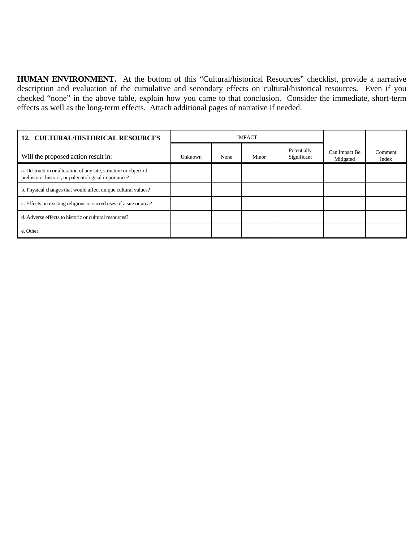**HUMAN ENVIRONMENT.** At the bottom of this "Cultural/historical Resources" checklist, provide a narrative description and evaluation of the cumulative and secondary effects on cultural/historical resources. Even if you checked "none" in the above table, explain how you came to that conclusion. Consider the immediate, short-term effects as well as the long-term effects. Attach additional pages of narrative if needed.

| <b>12. CULTURAL/HISTORICAL RESOURCES</b>                                                                                 | <b>IMPACT</b> |      |       |                            |                            |                  |
|--------------------------------------------------------------------------------------------------------------------------|---------------|------|-------|----------------------------|----------------------------|------------------|
| Will the proposed action result in:                                                                                      | Unknown       | None | Minor | Potentially<br>Significant | Can Impact Be<br>Mitigated | Comment<br>Index |
| a. Destruction or alteration of any site, structure or object of<br>prehistoric historic, or paleontological importance? |               |      |       |                            |                            |                  |
| b. Physical changes that would affect unique cultural values?                                                            |               |      |       |                            |                            |                  |
| c. Effects on existing religious or sacred uses of a site or area?                                                       |               |      |       |                            |                            |                  |
| d. Adverse effects to historic or cultural resources?                                                                    |               |      |       |                            |                            |                  |
| e. Other:                                                                                                                |               |      |       |                            |                            |                  |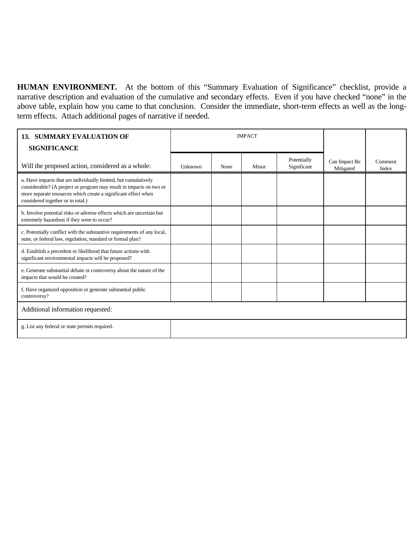**HUMAN ENVIRONMENT.** At the bottom of this "Summary Evaluation of Significance" checklist, provide a narrative description and evaluation of the cumulative and secondary effects. Even if you have checked "none" in the above table, explain how you came to that conclusion. Consider the immediate, short-term effects as well as the longterm effects. Attach additional pages of narrative if needed.

| <b>SUMMARY EVALUATION OF</b><br>13.<br><b>SIGNIFICANCE</b>                                                                                                                                                                                    | <b>IMPACT</b> |      |       |                            |                            |                  |
|-----------------------------------------------------------------------------------------------------------------------------------------------------------------------------------------------------------------------------------------------|---------------|------|-------|----------------------------|----------------------------|------------------|
| Will the proposed action, considered as a whole:                                                                                                                                                                                              | Unknown       | None | Minor | Potentially<br>Significant | Can Impact Be<br>Mitigated | Comment<br>Index |
| a. Have impacts that are individually limited, but cumulatively<br>considerable? (A project or program may result in impacts on two or<br>more separate resources which create a significant effect when<br>considered together or in total.) |               |      |       |                            |                            |                  |
| b. Involve potential risks or adverse effects which are uncertain but<br>extremely hazardous if they were to occur?                                                                                                                           |               |      |       |                            |                            |                  |
| c. Potentially conflict with the substantive requirements of any local,<br>state, or federal law, regulation, standard or formal plan?                                                                                                        |               |      |       |                            |                            |                  |
| d. Establish a precedent or likelihood that future actions with<br>significant environmental impacts will be proposed?                                                                                                                        |               |      |       |                            |                            |                  |
| e. Generate substantial debate or controversy about the nature of the<br>impacts that would be created?                                                                                                                                       |               |      |       |                            |                            |                  |
| f. Have organized opposition or generate substantial public<br>controversy?                                                                                                                                                                   |               |      |       |                            |                            |                  |
| Additional information requested:                                                                                                                                                                                                             |               |      |       |                            |                            |                  |
| g. List any federal or state permits required.                                                                                                                                                                                                |               |      |       |                            |                            |                  |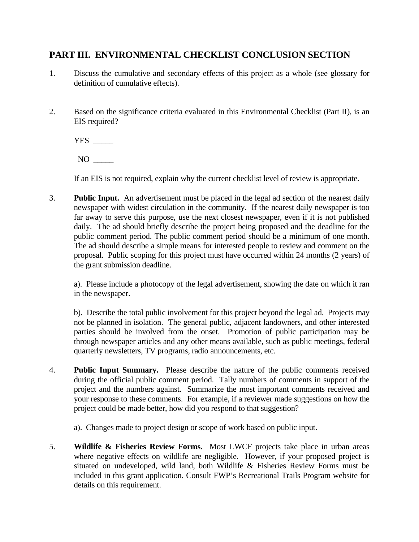### **PART III. ENVIRONMENTAL CHECKLIST CONCLUSION SECTION**

- 1. Discuss the cumulative and secondary effects of this project as a whole (see glossary for definition of cumulative effects).
- 2. Based on the significance criteria evaluated in this Environmental Checklist (Part II), is an EIS required?

YES \_\_\_\_\_

NO \_\_\_\_\_

If an EIS is not required, explain why the current checklist level of review is appropriate.

3. **Public Input.** An advertisement must be placed in the legal ad section of the nearest daily newspaper with widest circulation in the community. If the nearest daily newspaper is too far away to serve this purpose, use the next closest newspaper, even if it is not published daily. The ad should briefly describe the project being proposed and the deadline for the public comment period. The public comment period should be a minimum of one month. The ad should describe a simple means for interested people to review and comment on the proposal. Public scoping for this project must have occurred within 24 months (2 years) of the grant submission deadline.

a). Please include a photocopy of the legal advertisement, showing the date on which it ran in the newspaper.

b). Describe the total public involvement for this project beyond the legal ad. Projects may not be planned in isolation. The general public, adjacent landowners, and other interested parties should be involved from the onset. Promotion of public participation may be through newspaper articles and any other means available, such as public meetings, federal quarterly newsletters, TV programs, radio announcements, etc.

4. **Public Input Summary.** Please describe the nature of the public comments received during the official public comment period. Tally numbers of comments in support of the project and the numbers against. Summarize the most important comments received and your response to these comments. For example, if a reviewer made suggestions on how the project could be made better, how did you respond to that suggestion?

a). Changes made to project design or scope of work based on public input.

5. **Wildlife & Fisheries Review Forms.** Most LWCF projects take place in urban areas where negative effects on wildlife are negligible. However, if your proposed project is situated on undeveloped, wild land, both Wildlife & Fisheries Review Forms must be included in this grant application. Consult FWP's Recreational Trails Program website for details on this requirement.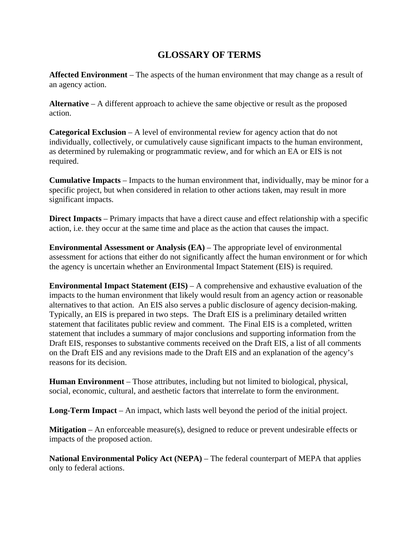## **GLOSSARY OF TERMS**

**Affected Environment** – The aspects of the human environment that may change as a result of an agency action.

**Alternative** – A different approach to achieve the same objective or result as the proposed action.

**Categorical Exclusion** – A level of environmental review for agency action that do not individually, collectively, or cumulatively cause significant impacts to the human environment, as determined by rulemaking or programmatic review, and for which an EA or EIS is not required.

**Cumulative Impacts** – Impacts to the human environment that, individually, may be minor for a specific project, but when considered in relation to other actions taken, may result in more significant impacts.

**Direct Impacts** – Primary impacts that have a direct cause and effect relationship with a specific action, i.e. they occur at the same time and place as the action that causes the impact.

**Environmental Assessment or Analysis (EA)** – The appropriate level of environmental assessment for actions that either do not significantly affect the human environment or for which the agency is uncertain whether an Environmental Impact Statement (EIS) is required.

**Environmental Impact Statement (EIS)** – A comprehensive and exhaustive evaluation of the impacts to the human environment that likely would result from an agency action or reasonable alternatives to that action. An EIS also serves a public disclosure of agency decision-making. Typically, an EIS is prepared in two steps. The Draft EIS is a preliminary detailed written statement that facilitates public review and comment. The Final EIS is a completed, written statement that includes a summary of major conclusions and supporting information from the Draft EIS, responses to substantive comments received on the Draft EIS, a list of all comments on the Draft EIS and any revisions made to the Draft EIS and an explanation of the agency's reasons for its decision.

**Human Environment** – Those attributes, including but not limited to biological, physical, social, economic, cultural, and aesthetic factors that interrelate to form the environment.

**Long-Term Impact** – An impact, which lasts well beyond the period of the initial project.

**Mitigation** – An enforceable measure(s), designed to reduce or prevent undesirable effects or impacts of the proposed action.

**National Environmental Policy Act (NEPA)** – The federal counterpart of MEPA that applies only to federal actions.